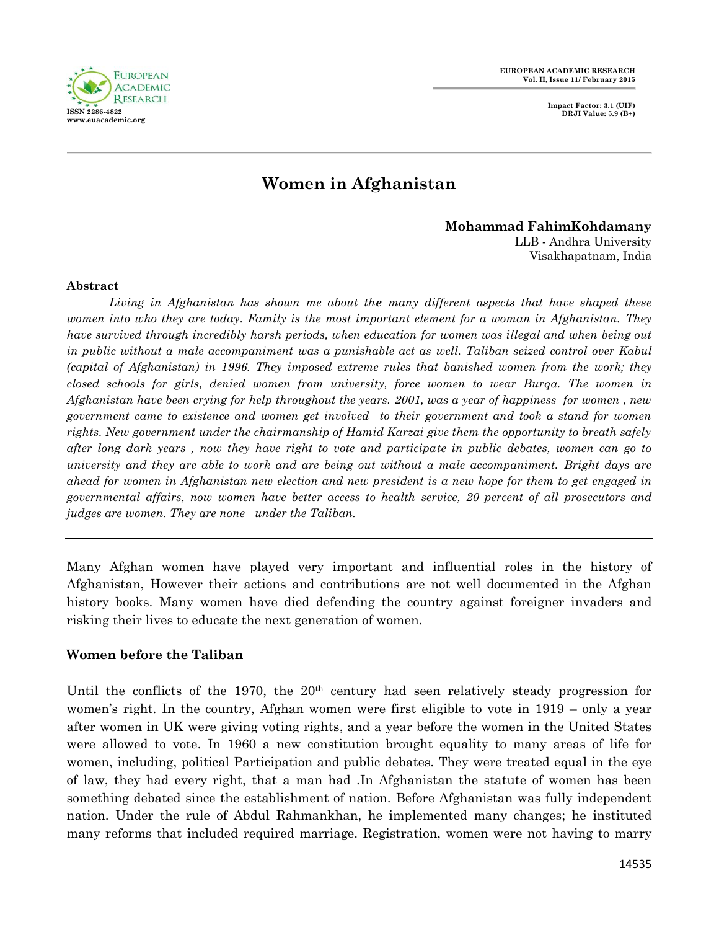

**Impact Factor: 3.1 (UIF) DRJI Value: 5.9 (B+)**

# **Women in Afghanistan**

**Mohammad FahimKohdamany**

LLB - Andhra University Visakhapatnam, India

#### **Abstract**

*Living in Afghanistan has shown me about the many different aspects that have shaped these women into who they are today. Family is the most important element for a woman in Afghanistan. They have survived through incredibly harsh periods, when education for women was illegal and when being out in public without a male accompaniment was a punishable act as well. Taliban seized control over Kabul (capital of Afghanistan) in 1996. They imposed extreme rules that banished women from the work; they closed schools for girls, denied women from university, force women to wear Burqa. The women in Afghanistan have been crying for help throughout the years. 2001, was a year of happiness for women , new government came to existence and women get involved to their government and took a stand for women rights. New government under the chairmanship of Hamid Karzai give them the opportunity to breath safely after long dark years , now they have right to vote and participate in public debates, women can go to university and they are able to work and are being out without a male accompaniment. Bright days are ahead for women in Afghanistan new election and new president is a new hope for them to get engaged in governmental affairs, now women have better access to health service, 20 percent of all prosecutors and judges are women. They are none under the Taliban.* 

Many Afghan women have played very important and influential roles in the history of Afghanistan, However their actions and contributions are not well documented in the Afghan history books. Many women have died defending the country against foreigner invaders and risking their lives to educate the next generation of women.

## **Women before the Taliban**

Until the conflicts of the 1970, the 20<sup>th</sup> century had seen relatively steady progression for women's right. In the country, Afghan women were first eligible to vote in 1919 – only a year after women in UK were giving voting rights, and a year before the women in the United States were allowed to vote. In 1960 a new constitution brought equality to many areas of life for women, including, political Participation and public debates. They were treated equal in the eye of law, they had every right, that a man had .In Afghanistan the statute of women has been something debated since the establishment of nation. Before Afghanistan was fully independent nation. Under the rule of Abdul Rahmankhan, he implemented many changes; he instituted many reforms that included required marriage. Registration, women were not having to marry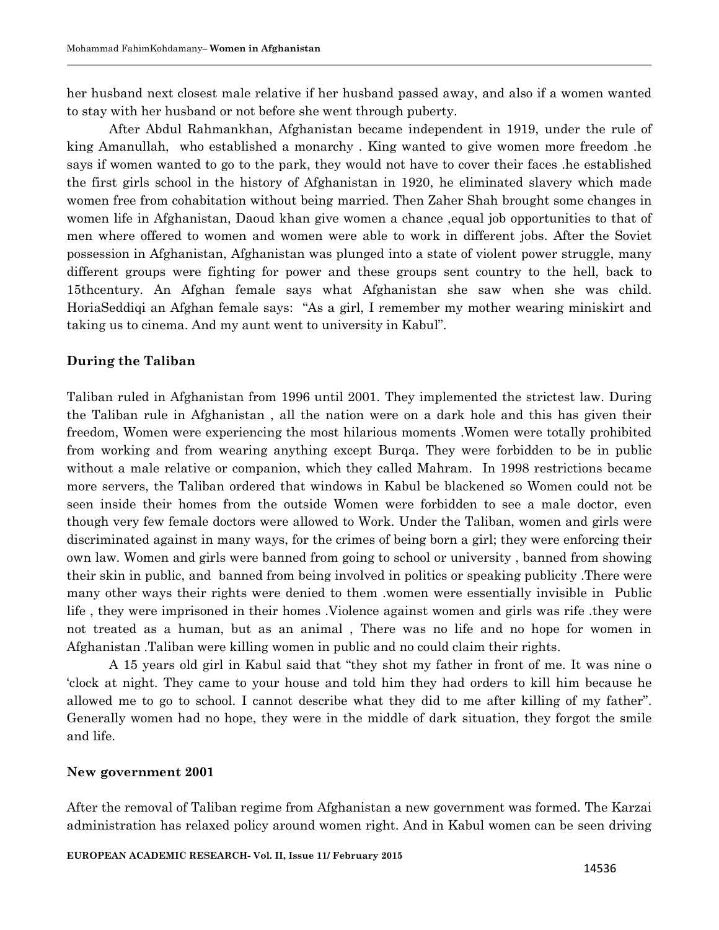her husband next closest male relative if her husband passed away, and also if a women wanted to stay with her husband or not before she went through puberty.

After Abdul Rahmankhan, Afghanistan became independent in 1919, under the rule of king Amanullah, who established a monarchy . King wanted to give women more freedom .he says if women wanted to go to the park, they would not have to cover their faces .he established the first girls school in the history of Afghanistan in 1920, he eliminated slavery which made women free from cohabitation without being married. Then Zaher Shah brought some changes in women life in Afghanistan, Daoud khan give women a chance ,equal job opportunities to that of men where offered to women and women were able to work in different jobs. After the Soviet possession in Afghanistan, Afghanistan was plunged into a state of violent power struggle, many different groups were fighting for power and these groups sent country to the hell, back to 15thcentury. An Afghan female says what Afghanistan she saw when she was child. HoriaSeddiqi an Afghan female says: "As a girl, I remember my mother wearing miniskirt and taking us to cinema. And my aunt went to university in Kabul".

## **During the Taliban**

Taliban ruled in Afghanistan from 1996 until 2001. They implemented the strictest law. During the Taliban rule in Afghanistan , all the nation were on a dark hole and this has given their freedom, Women were experiencing the most hilarious moments .Women were totally prohibited from working and from wearing anything except Burqa. They were forbidden to be in public without a male relative or companion, which they called Mahram. In 1998 restrictions became more servers, the Taliban ordered that windows in Kabul be blackened so Women could not be seen inside their homes from the outside Women were forbidden to see a male doctor, even though very few female doctors were allowed to Work. Under the Taliban, women and girls were discriminated against in many ways, for the crimes of being born a girl; they were enforcing their own law. Women and girls were banned from going to school or university , banned from showing their skin in public, and banned from being involved in politics or speaking publicity .There were many other ways their rights were denied to them .women were essentially invisible in Public life , they were imprisoned in their homes .Violence against women and girls was rife .they were not treated as a human, but as an animal , There was no life and no hope for women in Afghanistan .Taliban were killing women in public and no could claim their rights.

A 15 years old girl in Kabul said that "they shot my father in front of me. It was nine o "clock at night. They came to your house and told him they had orders to kill him because he allowed me to go to school. I cannot describe what they did to me after killing of my father". Generally women had no hope, they were in the middle of dark situation, they forgot the smile and life.

## **New government 2001**

After the removal of Taliban regime from Afghanistan a new government was formed. The Karzai administration has relaxed policy around women right. And in Kabul women can be seen driving

**EUROPEAN ACADEMIC RESEARCH- Vol. II, Issue 11/ February 2015**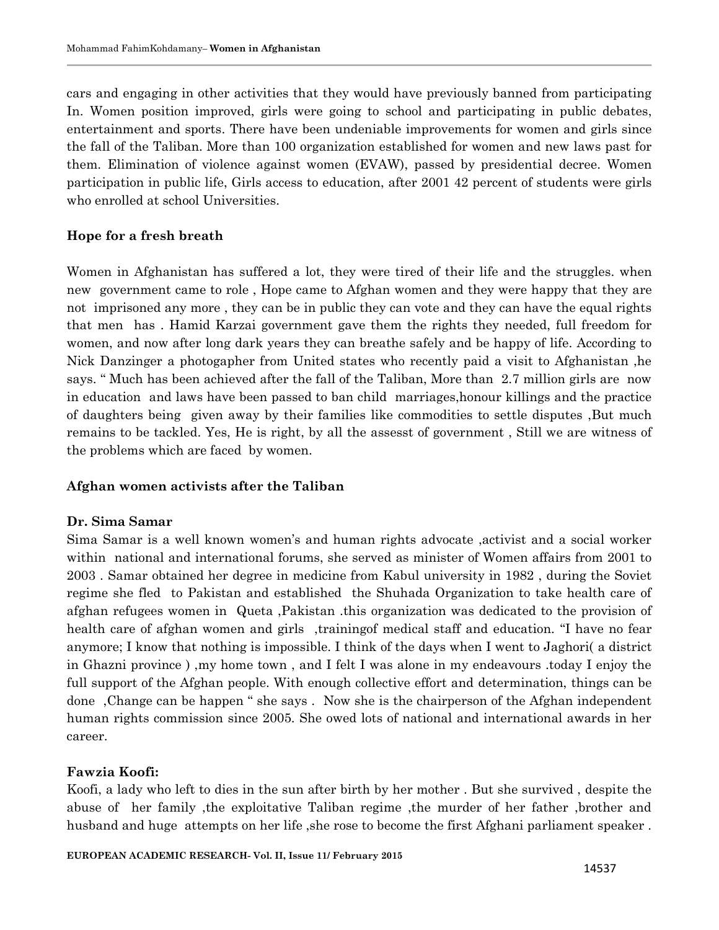cars and engaging in other activities that they would have previously banned from participating In. Women position improved, girls were going to school and participating in public debates, entertainment and sports. There have been undeniable improvements for women and girls since the fall of the Taliban. More than 100 organization established for women and new laws past for them. Elimination of violence against women (EVAW), passed by presidential decree. Women participation in public life, Girls access to education, after 2001 42 percent of students were girls who enrolled at school Universities.

# **Hope for a fresh breath**

Women in Afghanistan has suffered a lot, they were tired of their life and the struggles. when new government came to role , Hope came to Afghan women and they were happy that they are not imprisoned any more , they can be in public they can vote and they can have the equal rights that men has . Hamid Karzai government gave them the rights they needed, full freedom for women, and now after long dark years they can breathe safely and be happy of life. According to Nick Danzinger a photogapher from United states who recently paid a visit to Afghanistan ,he says. " Much has been achieved after the fall of the Taliban, More than 2.7 million girls are now in education and laws have been passed to ban child marriages,honour killings and the practice of daughters being given away by their families like commodities to settle disputes ,But much remains to be tackled. Yes, He is right, by all the assesst of government , Still we are witness of the problems which are faced by women.

# **Afghan women activists after the Taliban**

# **Dr. Sima Samar**

Sima Samar is a well known women"s and human rights advocate ,activist and a social worker within national and international forums, she served as minister of Women affairs from 2001 to 2003 . Samar obtained her degree in medicine from Kabul university in 1982 , during the Soviet regime she fled to Pakistan and established the Shuhada Organization to take health care of afghan refugees women in Queta ,Pakistan .this organization was dedicated to the provision of health care of afghan women and girls ,trainingof medical staff and education. "I have no fear anymore; I know that nothing is impossible. I think of the days when I went to Jaghori( a district in Ghazni province ) ,my home town , and I felt I was alone in my endeavours .today I enjoy the full support of the Afghan people. With enough collective effort and determination, things can be done ,Change can be happen " she says . Now she is the chairperson of the Afghan independent human rights commission since 2005. She owed lots of national and international awards in her career.

# **Fawzia Koofi:**

Koofi, a lady who left to dies in the sun after birth by her mother . But she survived , despite the abuse of her family ,the exploitative Taliban regime ,the murder of her father ,brother and husband and huge attempts on her life, she rose to become the first Afghani parliament speaker.

#### **EUROPEAN ACADEMIC RESEARCH- Vol. II, Issue 11/ February 2015**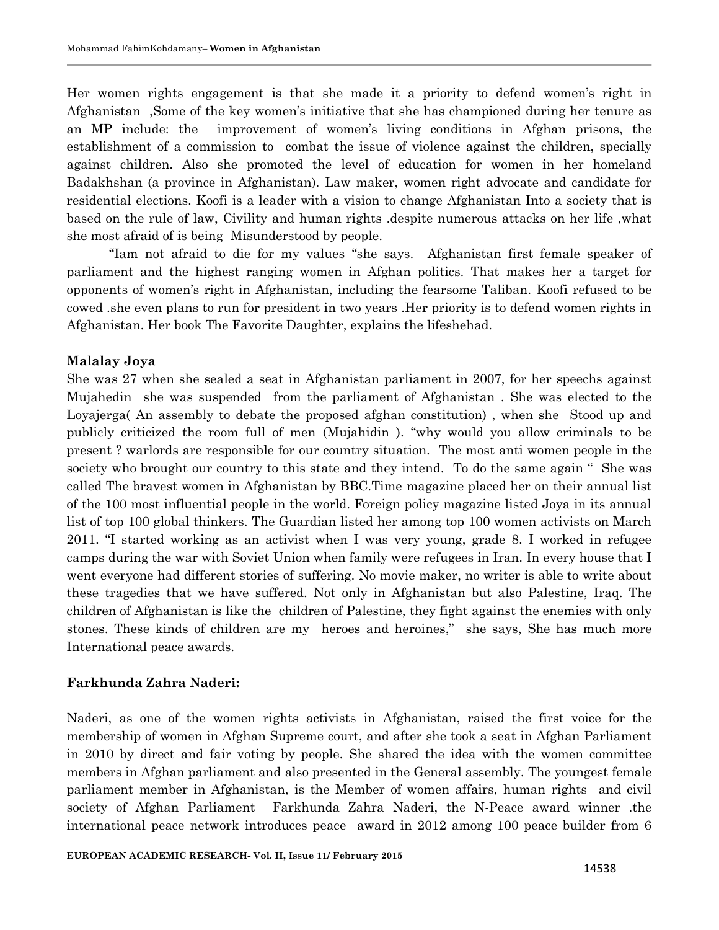Her women rights engagement is that she made it a priority to defend women"s right in Afghanistan ,Some of the key women"s initiative that she has championed during her tenure as an MP include: the improvement of women"s living conditions in Afghan prisons, the establishment of a commission to combat the issue of violence against the children, specially against children. Also she promoted the level of education for women in her homeland Badakhshan (a province in Afghanistan). Law maker, women right advocate and candidate for residential elections. Koofi is a leader with a vision to change Afghanistan Into a society that is based on the rule of law, Civility and human rights .despite numerous attacks on her life ,what she most afraid of is being Misunderstood by people.

"Iam not afraid to die for my values "she says. Afghanistan first female speaker of parliament and the highest ranging women in Afghan politics. That makes her a target for opponents of women"s right in Afghanistan, including the fearsome Taliban. Koofi refused to be cowed .she even plans to run for president in two years .Her priority is to defend women rights in Afghanistan. Her book The Favorite Daughter, explains the lifeshehad.

## **Malalay Joya**

She was 27 when she sealed a seat in Afghanistan parliament in 2007, for her speechs against Mujahedin she was suspended from the parliament of Afghanistan . She was elected to the Loyajerga( An assembly to debate the proposed afghan constitution) , when she Stood up and publicly criticized the room full of men (Mujahidin ). "why would you allow criminals to be present ? warlords are responsible for our country situation. The most anti women people in the society who brought our country to this state and they intend. To do the same again " She was called The bravest women in Afghanistan by BBC.Time magazine placed her on their annual list of the 100 most influential people in the world. Foreign policy magazine listed Joya in its annual list of top 100 global thinkers. The Guardian listed her among top 100 women activists on March 2011. "I started working as an activist when I was very young, grade 8. I worked in refugee camps during the war with Soviet Union when family were refugees in Iran. In every house that I went everyone had different stories of suffering. No movie maker, no writer is able to write about these tragedies that we have suffered. Not only in Afghanistan but also Palestine, Iraq. The children of Afghanistan is like the children of Palestine, they fight against the enemies with only stones. These kinds of children are my heroes and heroines," she says, She has much more International peace awards.

## **Farkhunda Zahra Naderi:**

Naderi, as one of the women rights activists in Afghanistan, raised the first voice for the membership of women in Afghan Supreme court, and after she took a seat in Afghan Parliament in 2010 by direct and fair voting by people. She shared the idea with the women committee members in Afghan parliament and also presented in the General assembly. The youngest female parliament member in Afghanistan, is the Member of women affairs, human rights and civil society of Afghan Parliament Farkhunda Zahra Naderi, the N-Peace award winner .the international peace network introduces peace award in 2012 among 100 peace builder from 6